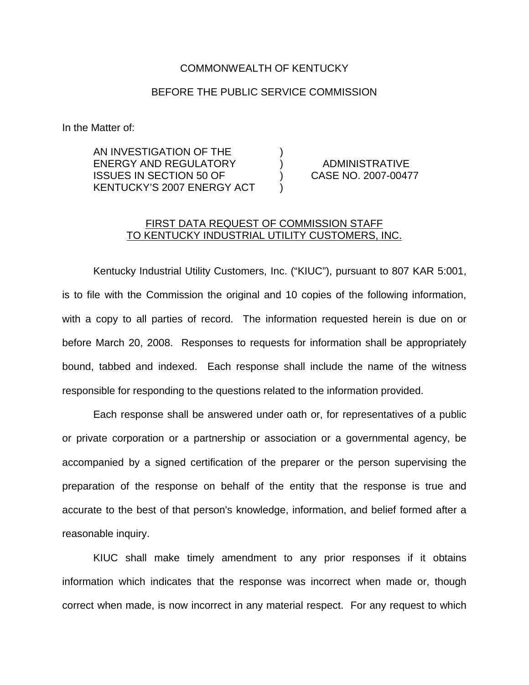## COMMONWEALTH OF KENTUCKY

## BEFORE THE PUBLIC SERVICE COMMISSION

In the Matter of:

AN INVESTIGATION OF THE ) ENERGY AND REGULATORY ) ADMINISTRATIVE ISSUES IN SECTION 50 OF ) CASE NO. 2007-00477 KENTUCKY'S 2007 ENERGY ACT )

## FIRST DATA REQUEST OF COMMISSION STAFF TO KENTUCKY INDUSTRIAL UTILITY CUSTOMERS, INC.

Kentucky Industrial Utility Customers, Inc. ("KIUC"), pursuant to 807 KAR 5:001, is to file with the Commission the original and 10 copies of the following information, with a copy to all parties of record. The information requested herein is due on or before March 20, 2008. Responses to requests for information shall be appropriately bound, tabbed and indexed. Each response shall include the name of the witness responsible for responding to the questions related to the information provided.

Each response shall be answered under oath or, for representatives of a public or private corporation or a partnership or association or a governmental agency, be accompanied by a signed certification of the preparer or the person supervising the preparation of the response on behalf of the entity that the response is true and accurate to the best of that person's knowledge, information, and belief formed after a reasonable inquiry.

KIUC shall make timely amendment to any prior responses if it obtains information which indicates that the response was incorrect when made or, though correct when made, is now incorrect in any material respect. For any request to which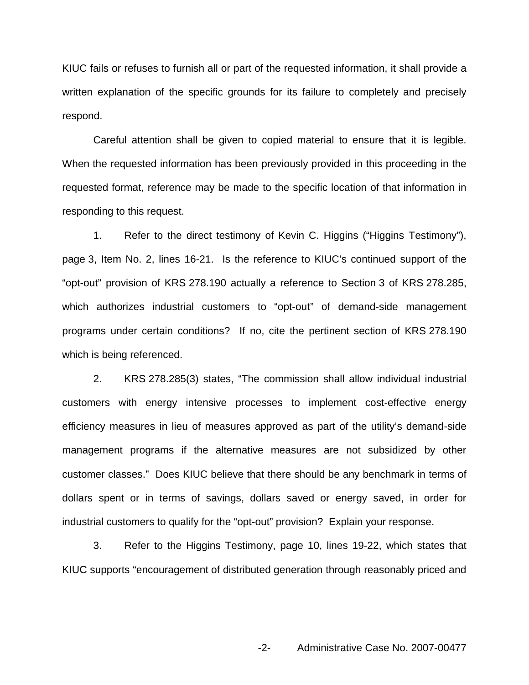KIUC fails or refuses to furnish all or part of the requested information, it shall provide a written explanation of the specific grounds for its failure to completely and precisely respond.

Careful attention shall be given to copied material to ensure that it is legible. When the requested information has been previously provided in this proceeding in the requested format, reference may be made to the specific location of that information in responding to this request.

1. Refer to the direct testimony of Kevin C. Higgins ("Higgins Testimony"), page 3, Item No. 2, lines 16-21. Is the reference to KIUC's continued support of the "opt-out" provision of KRS 278.190 actually a reference to Section 3 of KRS 278.285, which authorizes industrial customers to "opt-out" of demand-side management programs under certain conditions? If no, cite the pertinent section of KRS 278.190 which is being referenced.

2. KRS 278.285(3) states, "The commission shall allow individual industrial customers with energy intensive processes to implement cost-effective energy efficiency measures in lieu of measures approved as part of the utility's demand-side management programs if the alternative measures are not subsidized by other customer classes." Does KIUC believe that there should be any benchmark in terms of dollars spent or in terms of savings, dollars saved or energy saved, in order for industrial customers to qualify for the "opt-out" provision? Explain your response.

3. Refer to the Higgins Testimony, page 10, lines 19-22, which states that KIUC supports "encouragement of distributed generation through reasonably priced and